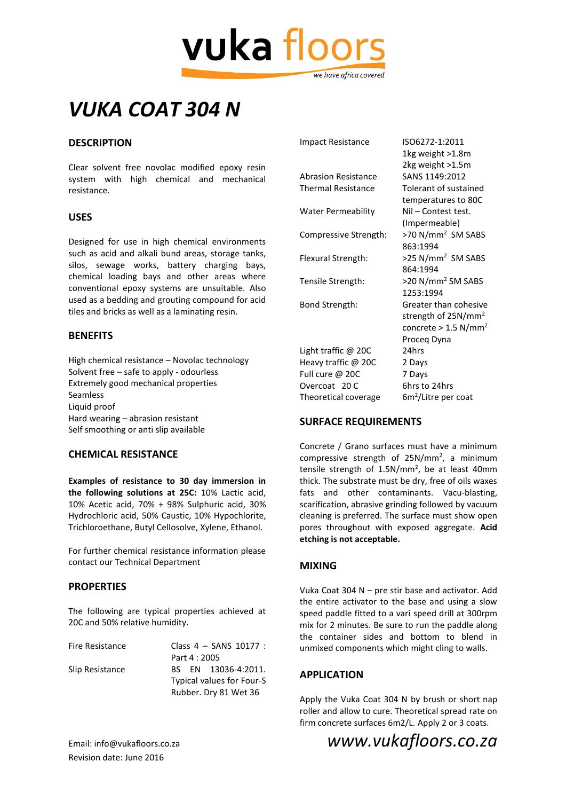

## *VUKA COAT 304 N*

## **DESCRIPTION**

Clear solvent free novolac modified epoxy resin system with high chemical and mechanical resistance.

### **USES**

Designed for use in high chemical environments such as acid and alkali bund areas, storage tanks, silos, sewage works, battery charging bays, chemical loading bays and other areas where conventional epoxy systems are unsuitable. Also used as a bedding and grouting compound for acid tiles and bricks as well as a laminating resin.

## **BENEFITS**

High chemical resistance – Novolac technology Solvent free – safe to apply - odourless Extremely good mechanical properties Seamless Liquid proof Hard wearing – abrasion resistant Self smoothing or anti slip available

### **CHEMICAL RESISTANCE**

**Examples of resistance to 30 day immersion in the following solutions at 25C:** 10% Lactic acid, 10% Acetic acid, 70% + 98% Sulphuric acid, 30% Hydrochloric acid, 50% Caustic, 10% Hypochlorite, Trichloroethane, Butyl Cellosolve, Xylene, Ethanol.

For further chemical resistance information please contact our Technical Department

## **PROPERTIES**

The following are typical properties achieved at 20C and 50% relative humidity.

| Fire Resistance | Class 4 - SANS 10177 :    |
|-----------------|---------------------------|
|                 | Part 4 : 2005             |
| Slip Resistance | BS EN 13036-4:2011.       |
|                 | Typical values for Four-S |
|                 | Rubber. Dry 81 Wet 36     |

| <b>Impact Resistance</b>   | ISO6272-1:2011                     |
|----------------------------|------------------------------------|
|                            | 1kg weight >1.8m                   |
|                            | 2kg weight >1.5m                   |
| <b>Abrasion Resistance</b> | SANS 1149:2012                     |
| <b>Thermal Resistance</b>  | Tolerant of sustained              |
|                            | temperatures to 80C                |
| <b>Water Permeability</b>  | Nil - Contest test.                |
|                            | (Impermeable)                      |
| Compressive Strength:      | >70 N/mm <sup>2</sup> SM SABS      |
|                            | 863:1994                           |
| Flexural Strength:         | >25 N/mm <sup>2</sup> SM SABS      |
|                            | 864:1994                           |
| Tensile Strength:          | >20 N/mm <sup>2</sup> SM SABS      |
|                            | 1253:1994                          |
| Bond Strength:             | Greater than cohesive              |
|                            | strength of $25N/mm^2$             |
|                            | concrete > $1.5$ N/mm <sup>2</sup> |
|                            | Proceg Dyna                        |
| Light traffic $@$ 20C      | 24hrs                              |
| Heavy traffic @ 20C        | 2 Days                             |
| Full cure @ 20C            | 7 Days                             |
| Overcoat 20 C              | 6hrs to 24hrs                      |

## **SURFACE REQUIREMENTS**

Theoretical coverage

Concrete / Grano surfaces must have a minimum compressive strength of 25N/mm<sup>2</sup>, a minimum tensile strength of 1.5N/mm<sup>2</sup>, be at least 40mm thick. The substrate must be dry, free of oils waxes fats and other contaminants. Vacu-blasting, scarification, abrasive grinding followed by vacuum cleaning is preferred. The surface must show open pores throughout with exposed aggregate. **Acid etching is not acceptable.**

 $6m<sup>2</sup>/$ Litre per coat

### **MIXING**

Vuka Coat 304 N – pre stir base and activator. Add the entire activator to the base and using a slow speed paddle fitted to a vari speed drill at 300rpm mix for 2 minutes. Be sure to run the paddle along the container sides and bottom to blend in unmixed components which might cling to walls.

### **APPLICATION**

Apply the Vuka Coat 304 N by brush or short nap roller and allow to cure. Theoretical spread rate on firm concrete surfaces 6m2/L. Apply 2 or 3 coats.

# Revision date: June 2016

Email: info@vukafloors.co.za *www.vukafloors.co.za*